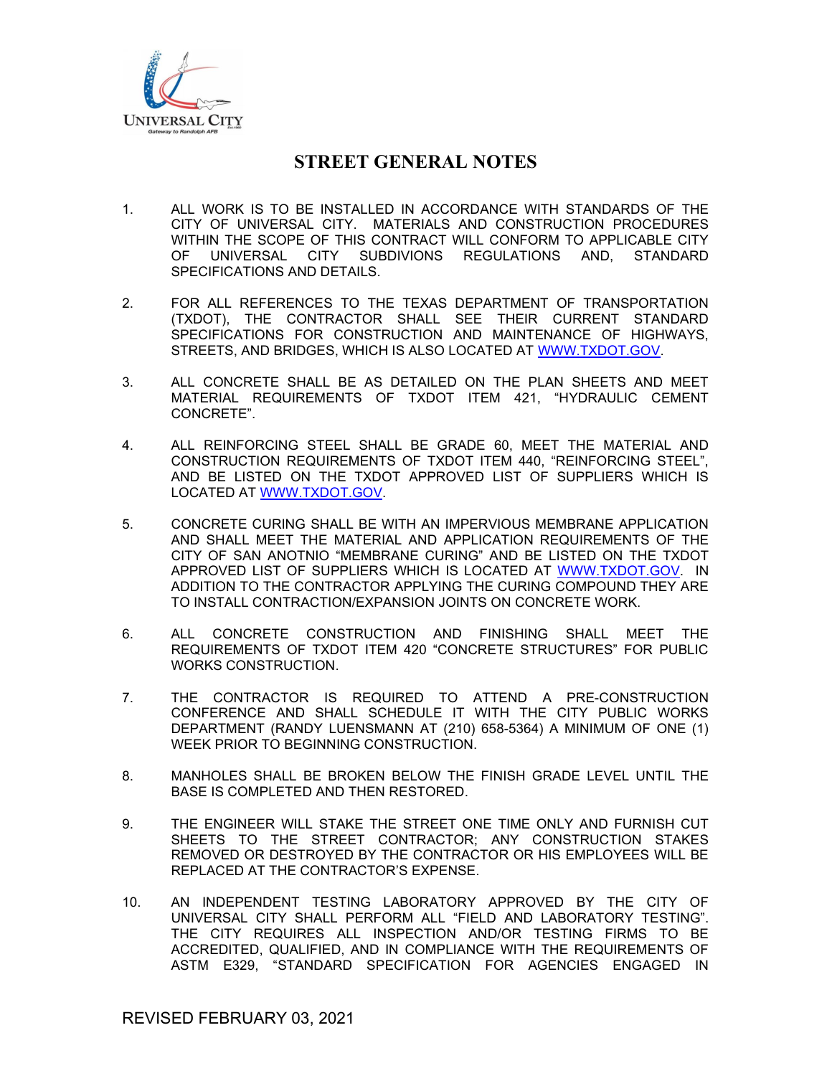

- 1. ALL WORK IS TO BE INSTALLED IN ACCORDANCE WITH STANDARDS OF THE CITY OF UNIVERSAL CITY. MATERIALS AND CONSTRUCTION PROCEDURES WITHIN THE SCOPE OF THIS CONTRACT WILL CONFORM TO APPLICABLE CITY OF UNIVERSAL CITY SUBDIVIONS REGULATIONS AND, STANDARD SPECIFICATIONS AND DETAILS.
- 2. FOR ALL REFERENCES TO THE TEXAS DEPARTMENT OF TRANSPORTATION (TXDOT), THE CONTRACTOR SHALL SEE THEIR CURRENT STANDARD SPECIFICATIONS FOR CONSTRUCTION AND MAINTENANCE OF HIGHWAYS, STREETS, AND BRIDGES, WHICH IS ALSO LOCATED AT WWW.TXDOT.GOV.
- 3. ALL CONCRETE SHALL BE AS DETAILED ON THE PLAN SHEETS AND MEET MATERIAL REQUIREMENTS OF TXDOT ITEM 421, "HYDRAULIC CEMENT CONCRETE".
- 4. ALL REINFORCING STEEL SHALL BE GRADE 60, MEET THE MATERIAL AND CONSTRUCTION REQUIREMENTS OF TXDOT ITEM 440, "REINFORCING STEEL", AND BE LISTED ON THE TXDOT APPROVED LIST OF SUPPLIERS WHICH IS LOCATED AT WWW.TXDOT.GOV.
- 5. CONCRETE CURING SHALL BE WITH AN IMPERVIOUS MEMBRANE APPLICATION AND SHALL MEET THE MATERIAL AND APPLICATION REQUIREMENTS OF THE CITY OF SAN ANOTNIO "MEMBRANE CURING" AND BE LISTED ON THE TXDOT APPROVED LIST OF SUPPLIERS WHICH IS LOCATED AT WWW.TXDOT.GOV. IN ADDITION TO THE CONTRACTOR APPLYING THE CURING COMPOUND THEY ARE TO INSTALL CONTRACTION/EXPANSION JOINTS ON CONCRETE WORK.
- 6. ALL CONCRETE CONSTRUCTION AND FINISHING SHALL MEET THE REQUIREMENTS OF TXDOT ITEM 420 "CONCRETE STRUCTURES" FOR PUBLIC WORKS CONSTRUCTION.
- 7. THE CONTRACTOR IS REQUIRED TO ATTEND A PRE-CONSTRUCTION CONFERENCE AND SHALL SCHEDULE IT WITH THE CITY PUBLIC WORKS DEPARTMENT (RANDY LUENSMANN AT (210) 658-5364) A MINIMUM OF ONE (1) WEEK PRIOR TO BEGINNING CONSTRUCTION.
- 8. MANHOLES SHALL BE BROKEN BELOW THE FINISH GRADE LEVEL UNTIL THE BASE IS COMPLETED AND THEN RESTORED.
- 9. THE ENGINEER WILL STAKE THE STREET ONE TIME ONLY AND FURNISH CUT SHEETS TO THE STREET CONTRACTOR; ANY CONSTRUCTION STAKES REMOVED OR DESTROYED BY THE CONTRACTOR OR HIS EMPLOYEES WILL BE REPLACED AT THE CONTRACTOR'S EXPENSE.
- 10. AN INDEPENDENT TESTING LABORATORY APPROVED BY THE CITY OF UNIVERSAL CITY SHALL PERFORM ALL "FIELD AND LABORATORY TESTING". THE CITY REQUIRES ALL INSPECTION AND/OR TESTING FIRMS TO BE ACCREDITED, QUALIFIED, AND IN COMPLIANCE WITH THE REQUIREMENTS OF ASTM E329, "STANDARD SPECIFICATION FOR AGENCIES ENGAGED IN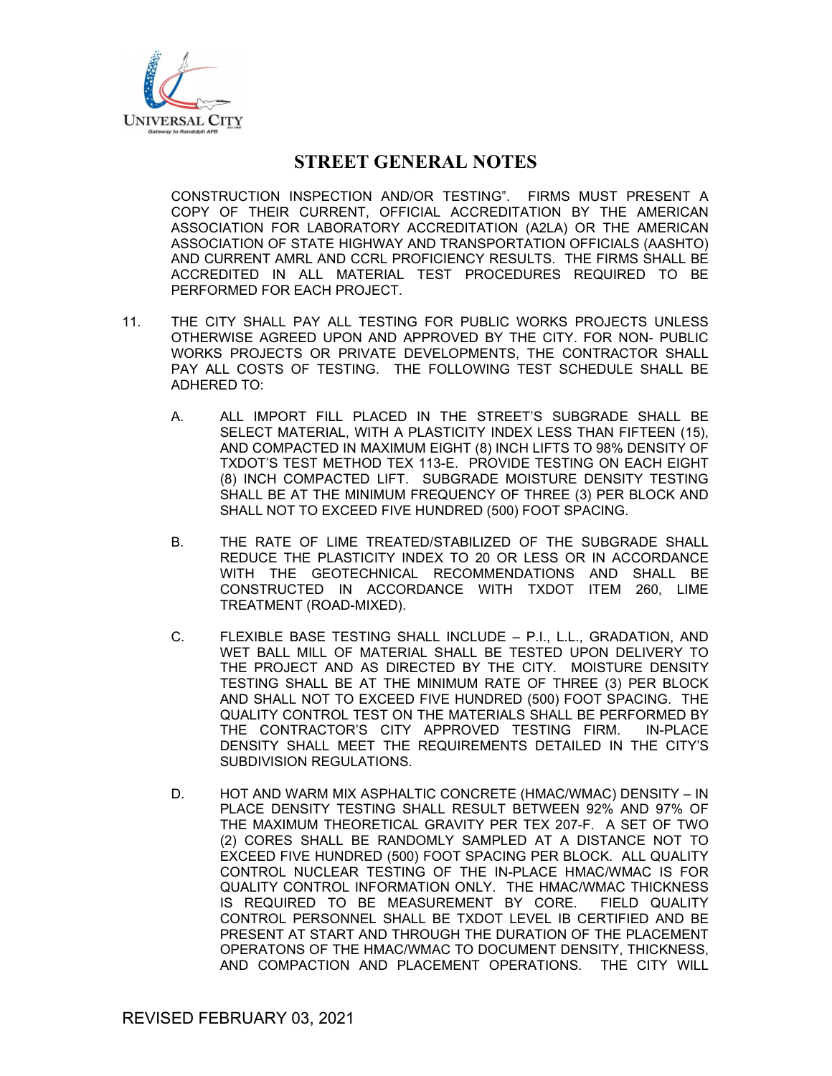

CONSTRUCTION INSPECTION AND/OR TESTING". FIRMS MUST PRESENT A COPY OF THEIR CURRENT, OFFICIAL ACCREDITATION BY THE AMERICAN ASSOCIATION FOR LABORATORY ACCREDITATION (A2LA) OR THE AMERICAN ASSOCIATION OF STATE HIGHWAY AND TRANSPORTATION OFFICIALS (AASHTO) AND CURRENT AMRL AND CCRL PROFICIENCY RESULTS. THE FIRMS SHALL BE ACCREDITED IN ALL MATERIAL TEST PROCEDURES REQUIRED TO BE PERFORMED FOR EACH PROJECT.

- 11. THE CITY SHALL PAY ALL TESTING FOR PUBLIC WORKS PROJECTS UNLESS OTHERWISE AGREED UPON AND APPROVED BY THE CITY. FOR NON- PUBLIC WORKS PROJECTS OR PRIVATE DEVELOPMENTS, THE CONTRACTOR SHALL PAY ALL COSTS OF TESTING. THE FOLLOWING TEST SCHEDULE SHALL BE ADHERED TO:
	- A. ALL IMPORT FILL PLACED IN THE STREET'S SUBGRADE SHALL BE SELECT MATERIAL, WITH A PLASTICITY INDEX LESS THAN FIFTEEN (15), AND COMPACTED IN MAXIMUM EIGHT (8) INCH LIFTS TO 98% DENSITY OF TXDOT'S TEST METHOD TEX 113-E. PROVIDE TESTING ON EACH EIGHT (8) INCH COMPACTED LIFT. SUBGRADE MOISTURE DENSITY TESTING SHALL BE AT THE MINIMUM FREQUENCY OF THREE (3) PER BLOCK AND SHALL NOT TO EXCEED FIVE HUNDRED (500) FOOT SPACING.
	- B. THE RATE OF LIME TREATED/STABILIZED OF THE SUBGRADE SHALL REDUCE THE PLASTICITY INDEX TO 20 OR LESS OR IN ACCORDANCE WITH THE GEOTECHNICAL RECOMMENDATIONS AND SHALL BE CONSTRUCTED IN ACCORDANCE WITH TXDOT ITEM 260, LIME TREATMENT (ROAD-MIXED).
	- C. FLEXIBLE BASE TESTING SHALL INCLUDE P.I., L.L., GRADATION, AND WET BALL MILL OF MATERIAL SHALL BE TESTED UPON DELIVERY TO THE PROJECT AND AS DIRECTED BY THE CITY. MOISTURE DENSITY TESTING SHALL BE AT THE MINIMUM RATE OF THREE (3) PER BLOCK AND SHALL NOT TO EXCEED FIVE HUNDRED (500) FOOT SPACING. THE QUALITY CONTROL TEST ON THE MATERIALS SHALL BE PERFORMED BY THE CONTRACTOR'S CITY APPROVED TESTING FIRM. IN-PLACE DENSITY SHALL MEET THE REQUIREMENTS DETAILED IN THE CITY'S SUBDIVISION REGULATIONS.
	- D. HOT AND WARM MIX ASPHALTIC CONCRETE (HMAC/WMAC) DENSITY IN PLACE DENSITY TESTING SHALL RESULT BETWEEN 92% AND 97% OF THE MAXIMUM THEORETICAL GRAVITY PER TEX 207-F. A SET OF TWO (2) CORES SHALL BE RANDOMLY SAMPLED AT A DISTANCE NOT TO EXCEED FIVE HUNDRED (500) FOOT SPACING PER BLOCK. ALL QUALITY CONTROL NUCLEAR TESTING OF THE IN-PLACE HMAC/WMAC IS FOR QUALITY CONTROL INFORMATION ONLY. THE HMAC/WMAC THICKNESS IS REQUIRED TO BE MEASUREMENT BY CORE. FIELD QUALITY CONTROL PERSONNEL SHALL BE TXDOT LEVEL IB CERTIFIED AND BE PRESENT AT START AND THROUGH THE DURATION OF THE PLACEMENT OPERATONS OF THE HMAC/WMAC TO DOCUMENT DENSITY, THICKNESS, AND COMPACTION AND PLACEMENT OPERATIONS. THE CITY WILL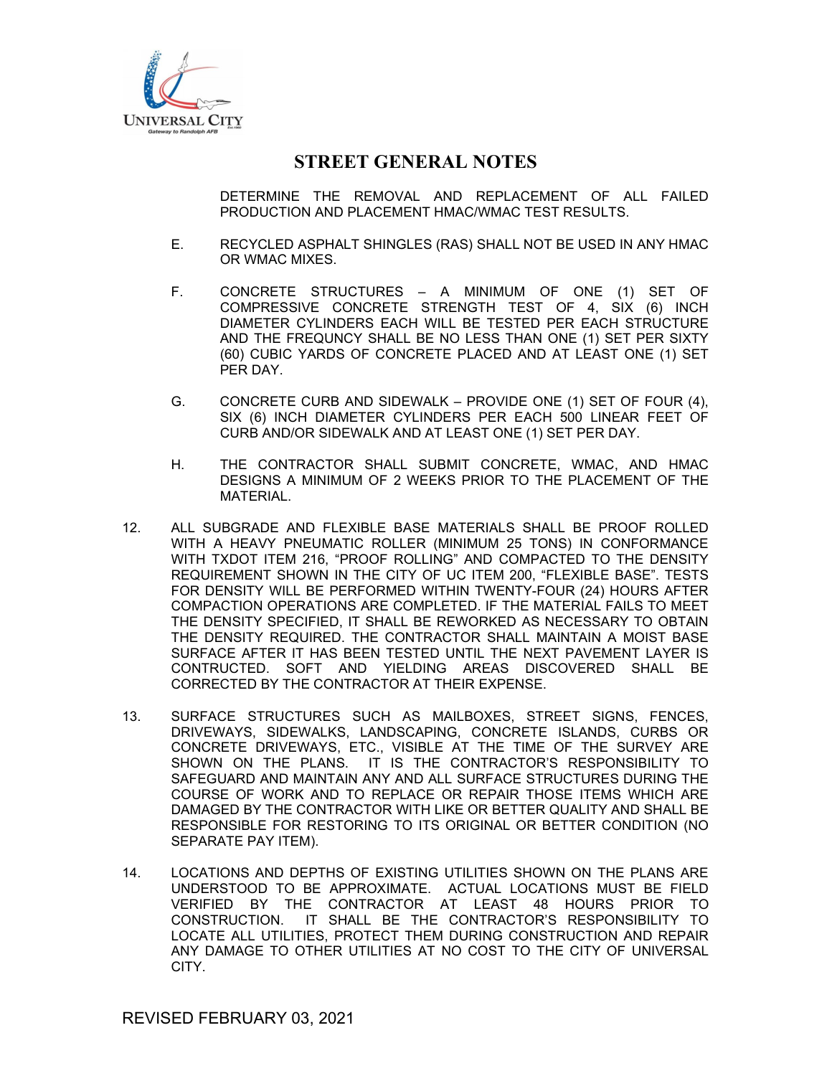

DETERMINE THE REMOVAL AND REPLACEMENT OF ALL FAILED PRODUCTION AND PLACEMENT HMAC/WMAC TEST RESULTS.

- E. RECYCLED ASPHALT SHINGLES (RAS) SHALL NOT BE USED IN ANY HMAC OR WMAC MIXES.
- F. CONCRETE STRUCTURES A MINIMUM OF ONE (1) SET OF COMPRESSIVE CONCRETE STRENGTH TEST OF 4, SIX (6) INCH DIAMETER CYLINDERS EACH WILL BE TESTED PER EACH STRUCTURE AND THE FREQUNCY SHALL BE NO LESS THAN ONE (1) SET PER SIXTY (60) CUBIC YARDS OF CONCRETE PLACED AND AT LEAST ONE (1) SET PER DAY.
- G. CONCRETE CURB AND SIDEWALK PROVIDE ONE (1) SET OF FOUR (4), SIX (6) INCH DIAMETER CYLINDERS PER EACH 500 LINEAR FEET OF CURB AND/OR SIDEWALK AND AT LEAST ONE (1) SET PER DAY.
- H. THE CONTRACTOR SHALL SUBMIT CONCRETE, WMAC, AND HMAC DESIGNS A MINIMUM OF 2 WEEKS PRIOR TO THE PLACEMENT OF THE MATERIAL.
- 12. ALL SUBGRADE AND FLEXIBLE BASE MATERIALS SHALL BE PROOF ROLLED WITH A HEAVY PNEUMATIC ROLLER (MINIMUM 25 TONS) IN CONFORMANCE WITH TXDOT ITEM 216, "PROOF ROLLING" AND COMPACTED TO THE DENSITY REQUIREMENT SHOWN IN THE CITY OF UC ITEM 200, "FLEXIBLE BASE". TESTS FOR DENSITY WILL BE PERFORMED WITHIN TWENTY-FOUR (24) HOURS AFTER COMPACTION OPERATIONS ARE COMPLETED. IF THE MATERIAL FAILS TO MEET THE DENSITY SPECIFIED, IT SHALL BE REWORKED AS NECESSARY TO OBTAIN THE DENSITY REQUIRED. THE CONTRACTOR SHALL MAINTAIN A MOIST BASE SURFACE AFTER IT HAS BEEN TESTED UNTIL THE NEXT PAVEMENT LAYER IS CONTRUCTED. SOFT AND YIELDING AREAS DISCOVERED SHALL BE CORRECTED BY THE CONTRACTOR AT THEIR EXPENSE.
- 13. SURFACE STRUCTURES SUCH AS MAILBOXES, STREET SIGNS, FENCES, DRIVEWAYS, SIDEWALKS, LANDSCAPING, CONCRETE ISLANDS, CURBS OR CONCRETE DRIVEWAYS, ETC., VISIBLE AT THE TIME OF THE SURVEY ARE SHOWN ON THE PLANS. IT IS THE CONTRACTOR'S RESPONSIBILITY TO SAFEGUARD AND MAINTAIN ANY AND ALL SURFACE STRUCTURES DURING THE COURSE OF WORK AND TO REPLACE OR REPAIR THOSE ITEMS WHICH ARE DAMAGED BY THE CONTRACTOR WITH LIKE OR BETTER QUALITY AND SHALL BE RESPONSIBLE FOR RESTORING TO ITS ORIGINAL OR BETTER CONDITION (NO SEPARATE PAY ITEM).
- 14. LOCATIONS AND DEPTHS OF EXISTING UTILITIES SHOWN ON THE PLANS ARE UNDERSTOOD TO BE APPROXIMATE. ACTUAL LOCATIONS MUST BE FIELD VERIFIED BY THE CONTRACTOR AT LEAST 48 HOURS PRIOR TO CONSTRUCTION. IT SHALL BE THE CONTRACTOR'S RESPONSIBILITY TO LOCATE ALL UTILITIES, PROTECT THEM DURING CONSTRUCTION AND REPAIR ANY DAMAGE TO OTHER UTILITIES AT NO COST TO THE CITY OF UNIVERSAL CITY.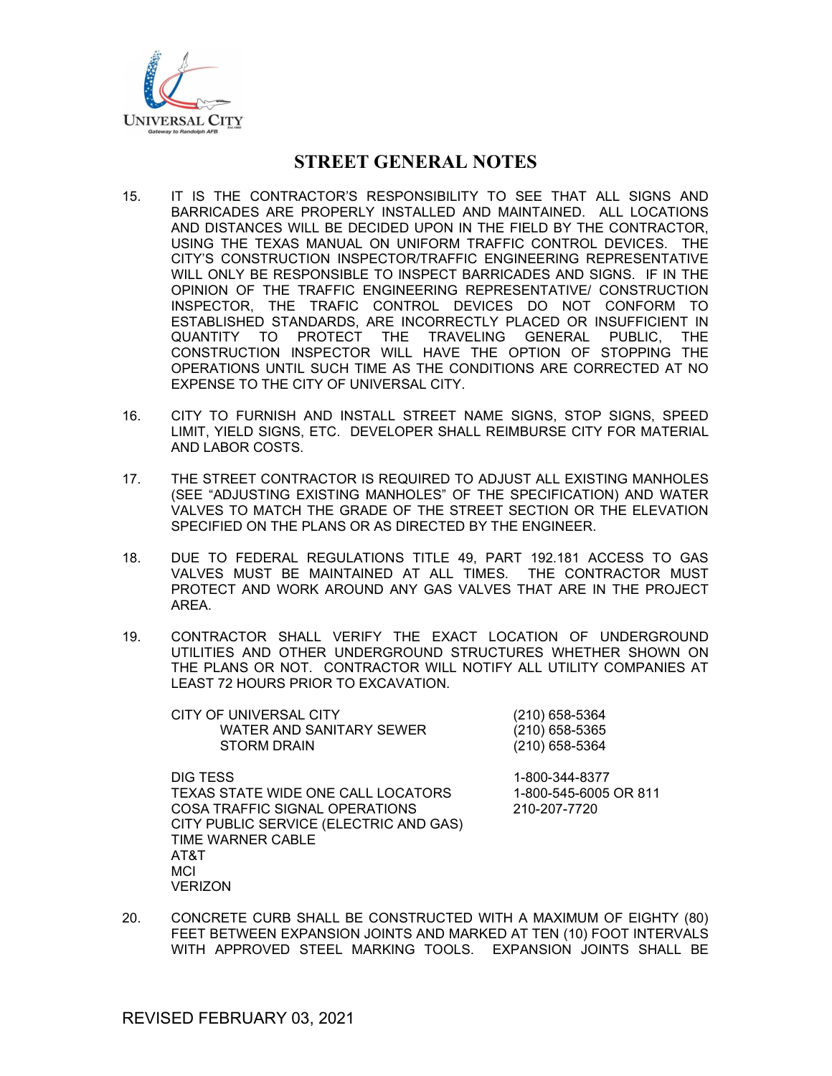

- 15. IT IS THE CONTRACTOR'S RESPONSIBILITY TO SEE THAT ALL SIGNS AND BARRICADES ARE PROPERLY INSTALLED AND MAINTAINED. ALL LOCATIONS AND DISTANCES WILL BE DECIDED UPON IN THE FIELD BY THE CONTRACTOR, USING THE TEXAS MANUAL ON UNIFORM TRAFFIC CONTROL DEVICES. THE CITY'S CONSTRUCTION INSPECTOR/TRAFFIC ENGINEERING REPRESENTATIVE WILL ONLY BE RESPONSIBLE TO INSPECT BARRICADES AND SIGNS. IF IN THE OPINION OF THE TRAFFIC ENGINEERING REPRESENTATIVE/ CONSTRUCTION INSPECTOR, THE TRAFIC CONTROL DEVICES DO NOT CONFORM TO ESTABLISHED STANDARDS, ARE INCORRECTLY PLACED OR INSUFFICIENT IN QUANTITY TO PROTECT THE TRAVELING GENERAL PUBLIC, THE CONSTRUCTION INSPECTOR WILL HAVE THE OPTION OF STOPPING THE OPERATIONS UNTIL SUCH TIME AS THE CONDITIONS ARE CORRECTED AT NO EXPENSE TO THE CITY OF UNIVERSAL CITY.
- 16. CITY TO FURNISH AND INSTALL STREET NAME SIGNS, STOP SIGNS, SPEED LIMIT, YIELD SIGNS, ETC. DEVELOPER SHALL REIMBURSE CITY FOR MATERIAL AND LABOR COSTS.
- 17. THE STREET CONTRACTOR IS REQUIRED TO ADJUST ALL EXISTING MANHOLES (SEE "ADJUSTING EXISTING MANHOLES" OF THE SPECIFICATION) AND WATER VALVES TO MATCH THE GRADE OF THE STREET SECTION OR THE ELEVATION SPECIFIED ON THE PLANS OR AS DIRECTED BY THE ENGINEER.
- 18. DUE TO FEDERAL REGULATIONS TITLE 49, PART 192.181 ACCESS TO GAS VALVES MUST BE MAINTAINED AT ALL TIMES. THE CONTRACTOR MUST PROTECT AND WORK AROUND ANY GAS VALVES THAT ARE IN THE PROJECT AREA.
- 19. CONTRACTOR SHALL VERIFY THE EXACT LOCATION OF UNDERGROUND UTILITIES AND OTHER UNDERGROUND STRUCTURES WHETHER SHOWN ON THE PLANS OR NOT. CONTRACTOR WILL NOTIFY ALL UTILITY COMPANIES AT LEAST 72 HOURS PRIOR TO EXCAVATION.

CITY OF UNIVERSAL CITY (210) 658-5364 WATER AND SANITARY SEWER (210) 658-5365 STORM DRAIN (210) 658-5364

DIG TESS 1-800-344-8377 TEXAS STATE WIDE ONE CALL LOCATORS 1-800-545-6005 OR 811 COSA TRAFFIC SIGNAL OPERATIONS 210-207-7720 CITY PUBLIC SERVICE (ELECTRIC AND GAS) TIME WARNER CABLE AT&T MCI **VERIZON** 

20. CONCRETE CURB SHALL BE CONSTRUCTED WITH A MAXIMUM OF EIGHTY (80) FEET BETWEEN EXPANSION JOINTS AND MARKED AT TEN (10) FOOT INTERVALS WITH APPROVED STEEL MARKING TOOLS. EXPANSION JOINTS SHALL BE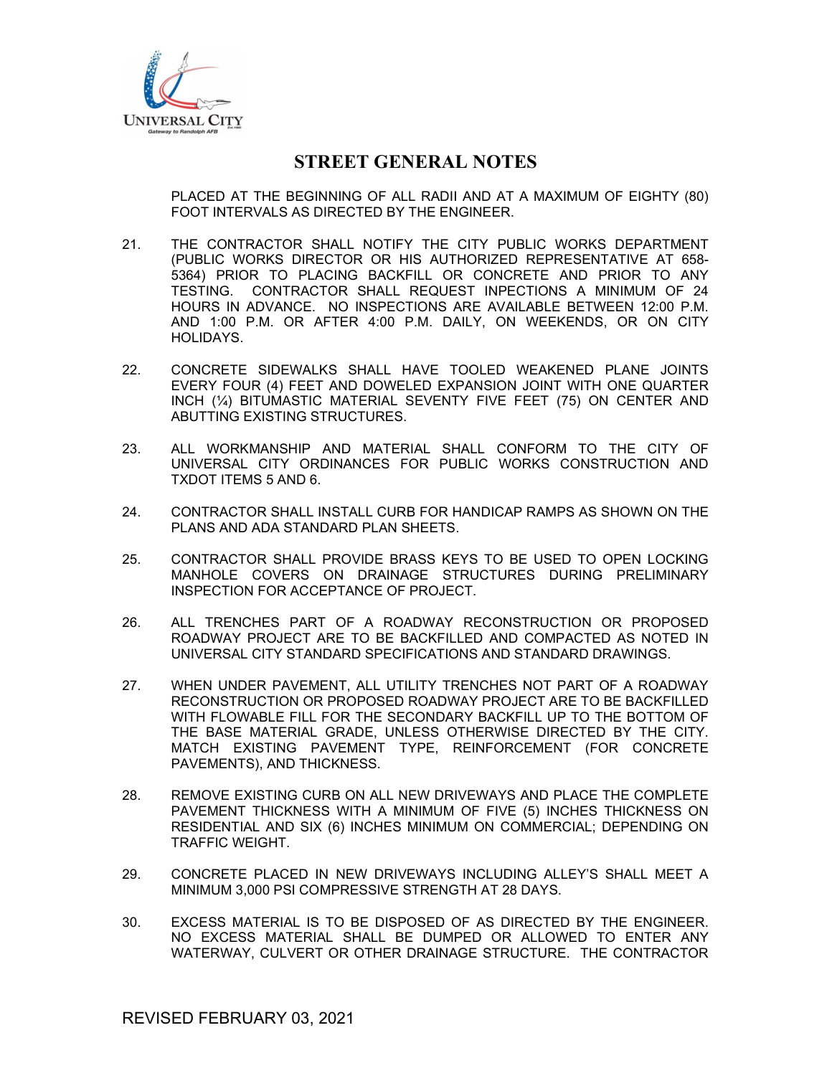

PLACED AT THE BEGINNING OF ALL RADII AND AT A MAXIMUM OF EIGHTY (80) FOOT INTERVALS AS DIRECTED BY THE ENGINEER.

- 21. THE CONTRACTOR SHALL NOTIFY THE CITY PUBLIC WORKS DEPARTMENT (PUBLIC WORKS DIRECTOR OR HIS AUTHORIZED REPRESENTATIVE AT 658- 5364) PRIOR TO PLACING BACKFILL OR CONCRETE AND PRIOR TO ANY TESTING. CONTRACTOR SHALL REQUEST INPECTIONS A MINIMUM OF 24 HOURS IN ADVANCE. NO INSPECTIONS ARE AVAILABLE BETWEEN 12:00 P.M. AND 1:00 P.M. OR AFTER 4:00 P.M. DAILY, ON WEEKENDS, OR ON CITY HOLIDAYS.
- 22. CONCRETE SIDEWALKS SHALL HAVE TOOLED WEAKENED PLANE JOINTS EVERY FOUR (4) FEET AND DOWELED EXPANSION JOINT WITH ONE QUARTER INCH (¼) BITUMASTIC MATERIAL SEVENTY FIVE FEET (75) ON CENTER AND ABUTTING EXISTING STRUCTURES.
- 23. ALL WORKMANSHIP AND MATERIAL SHALL CONFORM TO THE CITY OF UNIVERSAL CITY ORDINANCES FOR PUBLIC WORKS CONSTRUCTION AND TXDOT ITEMS 5 AND 6.
- 24. CONTRACTOR SHALL INSTALL CURB FOR HANDICAP RAMPS AS SHOWN ON THE PLANS AND ADA STANDARD PLAN SHEETS.
- 25. CONTRACTOR SHALL PROVIDE BRASS KEYS TO BE USED TO OPEN LOCKING MANHOLE COVERS ON DRAINAGE STRUCTURES DURING PRELIMINARY INSPECTION FOR ACCEPTANCE OF PROJECT.
- 26. ALL TRENCHES PART OF A ROADWAY RECONSTRUCTION OR PROPOSED ROADWAY PROJECT ARE TO BE BACKFILLED AND COMPACTED AS NOTED IN UNIVERSAL CITY STANDARD SPECIFICATIONS AND STANDARD DRAWINGS.
- 27. WHEN UNDER PAVEMENT, ALL UTILITY TRENCHES NOT PART OF A ROADWAY RECONSTRUCTION OR PROPOSED ROADWAY PROJECT ARE TO BE BACKFILLED WITH FLOWABLE FILL FOR THE SECONDARY BACKFILL UP TO THE BOTTOM OF THE BASE MATERIAL GRADE, UNLESS OTHERWISE DIRECTED BY THE CITY. MATCH EXISTING PAVEMENT TYPE, REINFORCEMENT (FOR CONCRETE PAVEMENTS), AND THICKNESS.
- 28. REMOVE EXISTING CURB ON ALL NEW DRIVEWAYS AND PLACE THE COMPLETE PAVEMENT THICKNESS WITH A MINIMUM OF FIVE (5) INCHES THICKNESS ON RESIDENTIAL AND SIX (6) INCHES MINIMUM ON COMMERCIAL; DEPENDING ON TRAFFIC WEIGHT.
- 29. CONCRETE PLACED IN NEW DRIVEWAYS INCLUDING ALLEY'S SHALL MEET A MINIMUM 3,000 PSI COMPRESSIVE STRENGTH AT 28 DAYS.
- 30. EXCESS MATERIAL IS TO BE DISPOSED OF AS DIRECTED BY THE ENGINEER. NO EXCESS MATERIAL SHALL BE DUMPED OR ALLOWED TO ENTER ANY WATERWAY, CULVERT OR OTHER DRAINAGE STRUCTURE. THE CONTRACTOR